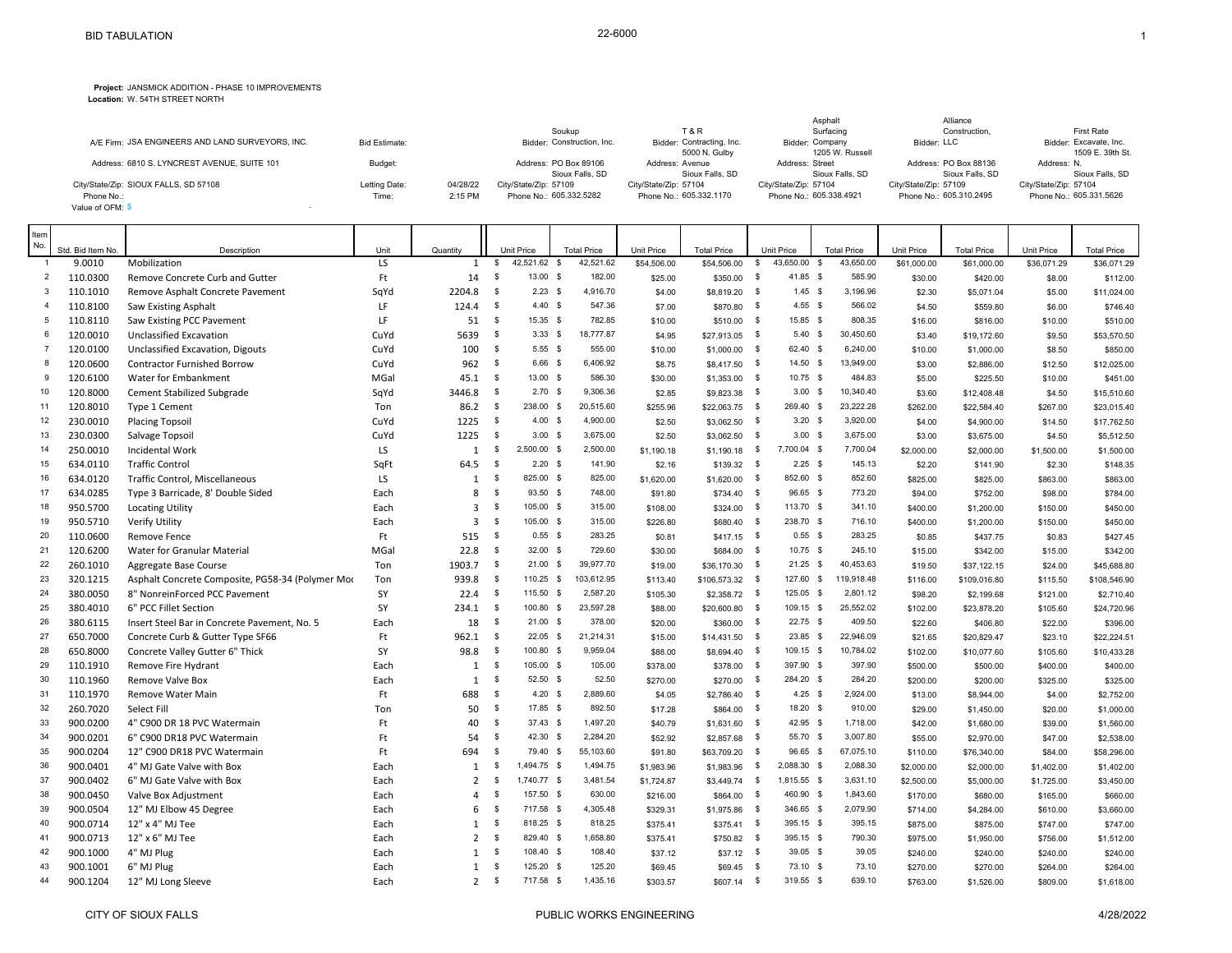## **Project:** JANSMICK ADDITION - PHASE 10 IMPROVEMENTS

**Location:** W. 54TH STREET NORTH

|                                                  |                      |          |                            |                           | Asphalt                 | Alliance                |                         |
|--------------------------------------------------|----------------------|----------|----------------------------|---------------------------|-------------------------|-------------------------|-------------------------|
|                                                  |                      |          | Soukup                     | <b>T&amp;R</b>            | Surfacing               | Construction.           | <b>First Rate</b>       |
| A/E Firm: JSA ENGINEERS AND LAND SURVEYORS. INC. | <b>Bid Estimate:</b> |          | Bidder: Construction, Inc. | Bidder: Contracting, Inc. | Bidder: Company         | Bidder: LLC             | Bidder: Excavate, Inc.  |
|                                                  |                      |          |                            | 5000 N. Gulby             | 1205 W. Russell         |                         | 1509 E. 39th St.        |
| Address: 6810 S. LYNCREST AVENUE, SUITE 101      | Budget:              |          | Address: PO Box 89106      | Address: Avenue           | Address: Street         | Address: PO Box 88136   | Address: N.             |
|                                                  |                      |          | Sioux Falls, SD            | Sioux Falls, SD           | Sioux Falls, SD         | Sioux Falls, SD         | Sioux Falls, SD         |
| City/State/Zip: SIOUX FALLS, SD 57108            | Letting Date:        | 04/28/22 | City/State/Zip: 57109      | City/State/Zip: 57104     | City/State/Zip: 57104   | City/State/Zip: 57109   | City/State/Zip: 57104   |
| Phone No.:                                       | Time:                | 2:15 PM  | Phone No.: 605.332.5282    | Phone No.: 605.332.1170   | Phone No.: 605.338.4921 | Phone No.: 605.310.2495 | Phone No.: 605.331.5626 |
| Value of OFM: \$                                 |                      |          |                            |                           |                         |                         |                         |
|                                                  |                      |          |                            |                           |                         |                         |                         |

π

| Item<br>No.    |                             | Description                                      |            |                |                | <b>Unit Price</b>  | <b>Total Price</b> | Unit Price  | <b>Total Price</b> | <b>Unit Price</b>           | <b>Total Price</b>       |                                  |                                   | Unit Price  |                                   |
|----------------|-----------------------------|--------------------------------------------------|------------|----------------|----------------|--------------------|--------------------|-------------|--------------------|-----------------------------|--------------------------|----------------------------------|-----------------------------------|-------------|-----------------------------------|
|                | Std. Bid Item No.<br>9.0010 | Mobilization                                     | Unit<br>LS | Quantity<br>1  | $\mathfrak s$  | 42,521.62 \$       | 42,521.62          | \$54,506.00 | \$54,506.00        | 43,650.00<br>$\mathbb{S}$   | 43,650.00<br>$\mathbf s$ | <b>Unit Price</b><br>\$61,000.00 | <b>Total Price</b><br>\$61,000.00 | \$36,071.29 | <b>Total Price</b><br>\$36,071.29 |
| $\overline{2}$ | 110.0300                    | Remove Concrete Curb and Gutter                  | Ft         | 14             | $\sqrt{3}$     | 13.00 \$           | 182.00             | \$25.00     | \$350.00           | \$<br>41.85 \$              | 585.90                   | \$30.00                          | \$420.00                          | \$8.00      | \$112.00                          |
| 3              | 110.1010                    | Remove Asphalt Concrete Pavement                 | SqYd       | 2204.8         | $\mathbf{\$}$  | $2.23$ \$          | 4,916.70           | \$4.00      | \$8,819.20         | $1.45$ \$<br>$\mathbf s$    | 3,196.96                 | \$2.30                           | \$5,071.04                        | \$5.00      | \$11,024.00                       |
| $\mathbf{4}$   | 110.8100                    | Saw Existing Asphalt                             | LF         | 124.4          | $\mathbf s$    | $4.40$ \$          | 547.36             | \$7.00      | \$870.80 \$        | $4.55$ \$                   | 566.02                   | \$4.50                           | \$559.80                          | \$6.00      | \$746.40                          |
| 5              | 110.8110                    | Saw Existing PCC Pavement                        | LF         | 51             | $\mathfrak s$  | 15.35 \$           | 782.85             | \$10.00     | \$510.00           | 15.85 \$<br>- \$            | 808.35                   | \$16.00                          | \$816.00                          | \$10.00     | \$510.00                          |
| 6              | 120.0010                    | Unclassified Excavation                          | CuYd       | 5639           | \$             | 3.33 <sup>5</sup>  | 18.777.87          | \$4.95      | \$27,913.05        | 5.40 S<br>$\mathbb{S}$      | 30,450.60                | \$3.40                           | \$19,172.60                       | \$9.50      | \$53,570.50                       |
| $\overline{7}$ | 120.0100                    | Unclassified Excavation, Digouts                 | CuYd       | 100            | $\mathbf{\$}$  | $5.55$ \$          | 555.00             | \$10.00     | \$1,000.00         | 62.40 \$<br>- \$            | 6,240.00                 | \$10.00                          | \$1,000.00                        | \$8.50      | \$850.00                          |
| 8              | 120.0600                    | <b>Contractor Furnished Borrow</b>               | CuYd       | 962            | \$             | $6.66$ \$          | 6,406.92           | \$8.75      | \$8,417.50 \$      | 14.50 \$                    | 13,949.00                | \$3.00                           | \$2,886.00                        | \$12.50     | \$12,025.00                       |
| 9              | 120.6100                    | Water for Embankment                             | MGal       | 45.1           | \$             | 13.00 \$           | 586.30             | \$30.00     | \$1,353.00         | 10.75 \$<br>\$              | 484.83                   | \$5.00                           | \$225.50                          | \$10.00     | \$451.00                          |
| 10             | 120.8000                    | Cement Stabilized Subgrade                       | SqYd       | 3446.8         | \$             | $2.70$ \$          | 9,306.36           | \$2.85      | \$9,823.38 \$      | $3.00$ \$                   | 10,340.40                | \$3.60                           | \$12,408.48                       | \$4.50      | \$15,510.60                       |
| 11             | 120.8010                    | Type 1 Cement                                    | Ton        | 86.2           | \$             | 238.00 \$          | 20,515.60          | \$255.96    | \$22.063.75        | 269.40 \$<br>\$             | 23,222.28                | \$262.00                         | \$22,584.40                       | \$267.00    | \$23,015.40                       |
| 12             | 230.0010                    | <b>Placing Topsoil</b>                           | CuYd       | 1225           | \$             | $4.00 \text{ }$ \$ | 4,900.00           | \$2.50      | $$3,062.50$ \$     | $3.20$ \$                   | 3,920.00                 | \$4.00                           | \$4,900.00                        | \$14.50     | \$17,762.50                       |
| 13             | 230.0300                    | Salvage Topsoil                                  | CuYd       | 1225           | $\mathfrak{s}$ | $3.00$ \$          | 3,675.00           | \$2.50      | \$3,062.50         | $3.00$ \$<br>\$             | 3,675.00                 | \$3.00                           | \$3,675.00                        | \$4.50      | \$5,512.50                        |
| 14             | 250.0010                    | Incidental Work                                  | LS         | $\mathbf{1}$   | \$             | $2.500.00$ \$      | 2,500.00           | \$1,190.18  | \$1,190.18         | 7.700.04 \$<br>$\mathbb{S}$ | 7,700.04                 | \$2,000.00                       | \$2,000.00                        | \$1,500.00  | \$1,500.00                        |
| 15             | 634.0110                    | <b>Traffic Control</b>                           | SqFt       | 64.5           | $\mathfrak s$  | $2.20$ \$          | 141.90             | \$2.16      | \$139.32 \$        | $2.25$ \$                   | 145.13                   | \$2.20                           | \$141.90                          | \$2.30      | \$148.35                          |
| 16             | 634.0120                    | Traffic Control, Miscellaneous                   | LS         | $\mathbf{1}$   | \$             | 825.00 \$          | 825.00             | \$1,620.00  | $$1,620.00$ \$     | 852.60 \$                   | 852.60                   | \$825.00                         | \$825.00                          | \$863.00    | \$863.00                          |
| 17             | 634.0285                    | Type 3 Barricade, 8' Double Sided                | Each       | 8              | $\sqrt{3}$     | 93.50 \$           | 748.00             | \$91.80     | \$734.40           | 96.65 \$<br>$\mathbf s$     | 773.20                   | \$94.00                          | \$752.00                          | \$98.00     | \$784.00                          |
| 18             | 950.5700                    | <b>Locating Utility</b>                          | Each       | 3              | \$             | 105.00 \$          | 315.00             | \$108.00    | \$324.00 \$        | 113.70 \$                   | 341.10                   | \$400.00                         | \$1,200.00                        | \$150.00    | \$450.00                          |
| 19             | 950.5710                    | Verify Utility                                   | Each       | $\overline{3}$ | \$             | 105.00 \$          | 315.00             | \$226.80    | \$680.40           | 238.70 \$<br>\$             | 716.10                   | \$400.00                         | \$1,200.00                        | \$150.00    | \$450.00                          |
| 20             | 110.0600                    | <b>Remove Fence</b>                              | Ft         | 515            | $\mathbf{s}$   | $0.55$ \$          | 283.25             | \$0.81      | $$417.15$ \$       | $0.55$ \$                   | 283.25                   | \$0.85                           | \$437.75                          | \$0.83      | \$427.45                          |
| 21             | 120.6200                    | Water for Granular Material                      | MGal       | 22.8           | $\mathfrak s$  | $32.00$ \$         | 729.60             | \$30.00     | \$684.00           | 10.75 \$<br>$\mathbf s$     | 245.10                   | \$15.00                          | \$342.00                          | \$15.00     | \$342.00                          |
| 22             | 260.1010                    | Aggregate Base Course                            | Ton        | 1903.7         | \$             | $21.00$ \$         | 39,977.70          | \$19.00     | \$36,170.30        | $21.25$ \$<br>- \$          | 40.453.63                | \$19.50                          | \$37,122.15                       | \$24.00     | \$45,688.80                       |
| 23             | 320.1215                    | Asphalt Concrete Composite, PG58-34 (Polymer Mor | Ton        | 939.8          | \$             | 110.25 \$          | 103,612.95         | \$113.40    | $$106,573.32$ \$   | 127.60 \$                   | 119,918.48               | \$116.00                         | \$109,016.80                      | \$115.50    | \$108,546.90                      |
| 24             | 380.0050                    | 8" NonreinForced PCC Pavement                    | SY         | 22.4           | $\mathbf{\$}$  | 115.50 \$          | 2,587.20           | \$105.30    | \$2,358.72 \$      | 125.05 \$                   | 2,801.12                 | \$98.20                          | \$2,199.68                        | \$121.00    | \$2,710.40                        |
| 25             | 380.4010                    | 6" PCC Fillet Section                            | SY         | 234.1          | $\mathbf{\$}$  | 100.80 \$          | 23,597.28          | \$88.00     | \$20,600.80        | 109.15 \$<br>- \$           | 25,552.02                | \$102.00                         | \$23,878.20                       | \$105.60    | \$24,720.96                       |
| 26             | 380.6115                    | Insert Steel Bar in Concrete Pavement, No. 5     | Each       | 18             | $\mathfrak s$  | 21.00 S            | 378.00             | \$20.00     | \$360.00           | - \$<br>$22.75$ \$          | 409.50                   | \$22.60                          | \$406.80                          | \$22.00     | \$396.00                          |
| 27             | 650.7000                    | Concrete Curb & Gutter Type SF66                 | Ft         | 962.1          | $\mathbf{\$}$  | $22.05$ \$         | 21,214.31          | \$15.00     | \$14,431.50        | 23.85 \$<br>- \$            | 22,946.09                | \$21.65                          | \$20,829.47                       | \$23.10     | \$22,224.51                       |
| 28             | 650.8000                    | Concrete Valley Gutter 6" Thick                  | SY         | 98.8           | $\mathbf{\$}$  | 100.80 \$          | 9,959.04           | \$88.00     | \$8,694.40         | 109.15 \$<br>$\mathbf s$    | 10.784.02                | \$102.00                         | \$10,077.60                       | \$105.60    | \$10,433.28                       |
| 29             | 110.1910                    | Remove Fire Hydrant                              | Each       | 1              | $\mathbf{\$}$  | 105.00 \$          | 105.00             | \$378.00    | \$378.00           | 397.90 \$<br>$\mathbb{S}$   | 397.90                   | \$500.00                         | \$500.00                          | \$400.00    | \$400.00                          |
| 30             | 110.1960                    | Remove Valve Box                                 | Each       | 1              | \$             | 52.50 \$           | 52.50              | \$270.00    | \$270.00           | 284.20 \$<br>\$             | 284.20                   | \$200.00                         | \$200.00                          | \$325.00    | \$325.00                          |
| 31             | 110.1970                    | Remove Water Main                                | Ft         | 688            | \$             | $4.20$ \$          | 2,889.60           | \$4.05      | \$2,786.40         | $4.25$ \$<br>- \$           | 2,924.00                 | \$13.00                          | \$8,944.00                        | \$4.00      | \$2,752.00                        |
| 32             | 260.7020                    | Select Fill                                      | Ton        | 50             | \$             | 17.85 \$           | 892.50             | \$17.28     | \$864.00           | $\mathbf s$<br>18.20 \$     | 910.00                   | \$29.00                          | \$1,450.00                        | \$20.00     | \$1,000.00                        |
| 33             | 900.0200                    | 4" C900 DR 18 PVC Watermain                      | Ft         | 40             | \$             | $37.43$ \$         | 1,497.20           | \$40.79     | \$1,631.60         | 42.95 \$<br><b>S</b>        | 1,718.00                 | \$42.00                          | \$1,680.00                        | \$39.00     | \$1,560.00                        |
| 34             | 900.0201                    | 6" C900 DR18 PVC Watermain                       | Ft         | 54             | \$             | $42.30$ \$         | 2,284.20           | \$52.92     | \$2,857.68         | \$<br>55.70 \$              | 3,007.80                 | \$55.00                          | \$2,970.00                        | \$47.00     | \$2,538.00                        |
| 35             | 900.0204                    | 12" C900 DR18 PVC Watermain                      | Ft         | 694            | \$             | 79.40 \$           | 55,103.60          | \$91.80     | \$63,709.20        | 96.65 \$<br>\$              | 67,075.10                | \$110.00                         | \$76,340.00                       | \$84.00     | \$58,296.00                       |
| 36             | 900.0401                    | 4" MJ Gate Valve with Box                        | Each       | 1              | \$             | 1.494.75 \$        | 1,494.75           | \$1,983.96  | \$1,983.96         | 2.088.30 \$<br><b>S</b>     | 2,088.30                 | \$2,000.00                       | \$2,000.00                        | \$1,402.00  | \$1,402.00                        |
| 37             | 900.0402                    | 6" MJ Gate Valve with Box                        | Each       | $\overline{2}$ | $\sqrt{3}$     | 1,740.77 \$        | 3,481.54           | \$1,724.87  | $$3,449.74$ \$     | 1,815.55 \$                 | 3,631.10                 | \$2,500.00                       | \$5,000.00                        | \$1,725.00  | \$3,450.00                        |
| 38             | 900.0450                    | Valve Box Adjustment                             | Each       | 4              | \$             | 157.50 \$          | 630.00             | \$216.00    | \$864.00           | \$<br>460.90 \$             | 1,843.60                 | \$170.00                         | \$680.00                          | \$165.00    | \$660.00                          |
| 39             | 900.0504                    | 12" MJ Elbow 45 Degree                           | Each       | 6              | \$             | 717.58 \$          | 4,305.48           | \$329.31    | \$1,975.86         | 346.65 \$<br>- \$           | 2,079.90                 | \$714.00                         | \$4,284.00                        | \$610.00    | \$3,660.00                        |
| 40             | 900.0714                    | 12" x 4" MJ Tee                                  | Each       | 1              | \$             | 818.25 \$          | 818.25             | \$375.41    | $$375.41$ \$       | 395.15 \$                   | 395.15                   | \$875.00                         | \$875.00                          | \$747.00    | \$747.00                          |
| 41             | 900.0713                    | 12" x 6" MJ Tee                                  | Each       | $\overline{2}$ | $\mathbf{\$}$  | 829.40 \$          | 1,658.80           | \$375.41    | \$750.82           | 395.15 \$<br>$^{\circ}$     | 790.30                   | \$975.00                         | \$1,950.00                        | \$756.00    | \$1,512.00                        |
| 42             | 900.1000                    | 4" MJ Plug                                       | Each       | $\mathbf{1}$   | \$             | 108.40 \$          | 108.40             | \$37.12     | $$37.12$ \$        | 39.05 \$                    | 39.05                    | \$240.00                         | \$240.00                          | \$240.00    | \$240.00                          |
| 43             | 900.1001                    | 6" MJ Plug                                       | Each       | $\mathbf{1}$   | \$             | 125.20 \$          | 125.20             | \$69.45     | \$69.45            | 73.10 \$<br>- \$            | 73.10                    | \$270.00                         | \$270.00                          | \$264.00    | \$264.00                          |
| 44             | 900.1204                    | 12" MJ Long Sleeve                               | Each       | $\overline{2}$ | \$             | 717.58 \$          | 1.435.16           | \$303.57    | $$607.14$ \$       | 319.55 \$                   | 639.10                   | \$763.00                         | \$1,526.00                        | \$809.00    | \$1,618.00                        |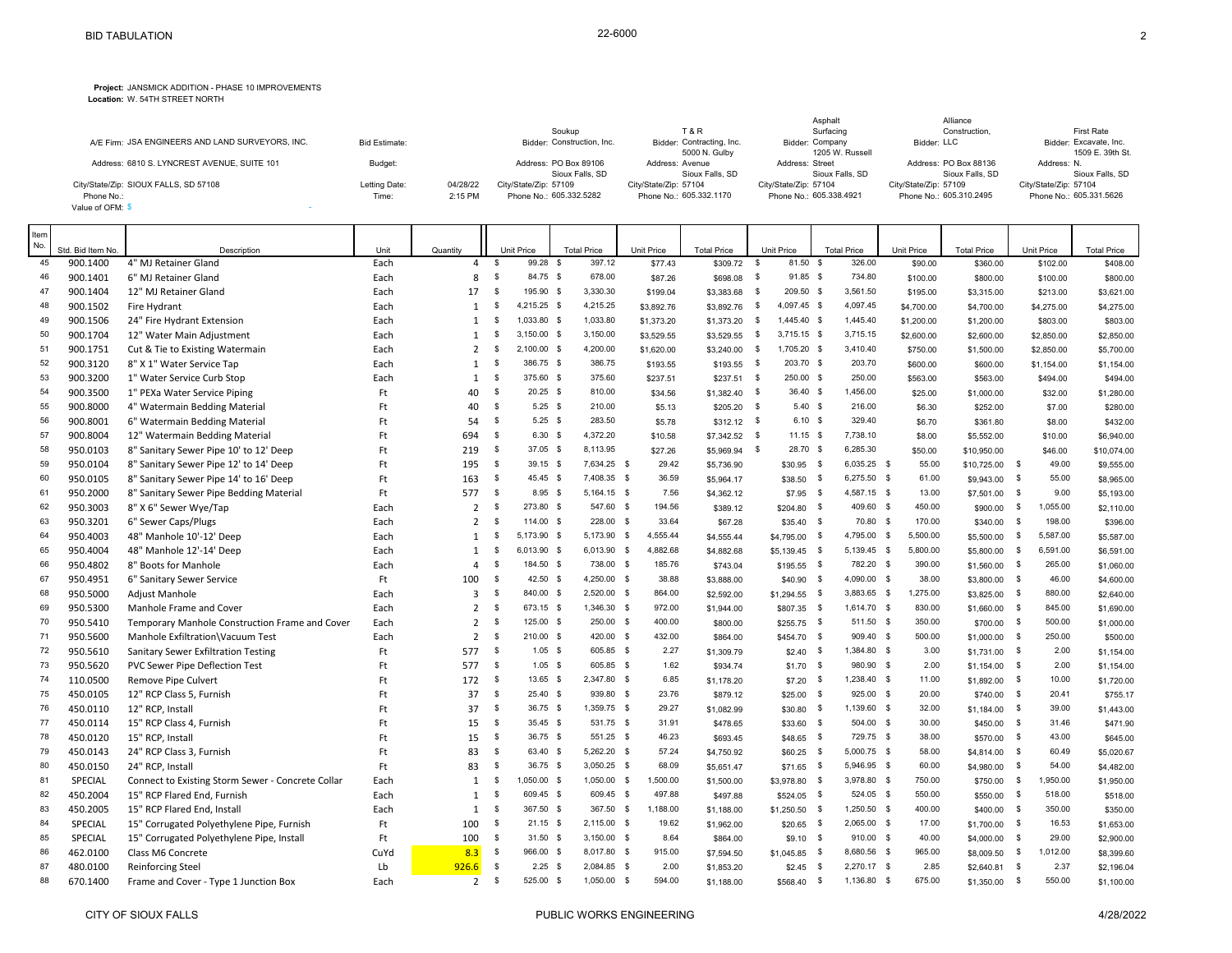## **Project:** JANSMICK ADDITION - PHASE 10 IMPROVEMENTS

**Location:** W. 54TH STREET NORTH

|                                                  |                      |          |                            |                           | Asphalt                 | Alliance                |                         |
|--------------------------------------------------|----------------------|----------|----------------------------|---------------------------|-------------------------|-------------------------|-------------------------|
|                                                  |                      |          | Soukup                     | <b>T&amp;R</b>            | Surfacing               | Construction.           | First Rate              |
| A/E Firm: JSA ENGINEERS AND LAND SURVEYORS. INC. | <b>Bid Estimate:</b> |          | Bidder: Construction, Inc. | Bidder: Contracting, Inc. | Bidder: Company         | Bidder: LLC             | Bidder: Excavate, Inc.  |
|                                                  |                      |          |                            | 5000 N. Gulby             | 1205 W. Russell         |                         | 1509 E. 39th St.        |
| Address: 6810 S. LYNCREST AVENUE, SUITE 101      | Budget:              |          | Address: PO Box 89106      | Address: Avenue           | Address: Street         | Address: PO Box 88136   | Address: N.             |
|                                                  |                      |          | Sioux Falls, SD            | Sioux Falls, SD           | Sioux Falls, SD         | Sioux Falls, SD         | Sioux Falls, SD         |
| City/State/Zip: SIOUX FALLS, SD 57108            | Letting Date:        | 04/28/22 | City/State/Zip: 57109      | City/State/Zip: 57104     | City/State/Zip: 57104   | City/State/Zip: 57109   | City/State/Zip: 57104   |
| Phone No.:                                       | Time:                | 2:15 PM  | Phone No.: 605.332.5282    | Phone No.: 605.332.1170   | Phone No.: 605.338.4921 | Phone No.: 605.310.2495 | Phone No.: 605.331.5626 |
| Value of OFM: \$                                 |                      |          |                            |                           |                         |                         |                         |
|                                                  |                      |          |                            |                           |                         |                         |                         |

π

| Item<br>No. |                               |                                                   |              |                            |               |                               |                              |                       |                                |                                            |              |                              | Unit Price | <b>Total Price</b> |               | <b>Unit Price</b> |                                |
|-------------|-------------------------------|---------------------------------------------------|--------------|----------------------------|---------------|-------------------------------|------------------------------|-----------------------|--------------------------------|--------------------------------------------|--------------|------------------------------|------------|--------------------|---------------|-------------------|--------------------------------|
| 45          | Std. Bid Item No.<br>900.1400 | Description<br>4" MJ Retainer Gland               | Unit<br>Each | Quantity<br>$\overline{4}$ | \$            | <b>Unit Price</b><br>99.28 \$ | <b>Total Price</b><br>397.12 | Unit Price<br>\$77.43 | <b>Total Price</b><br>\$309.72 | <b>Unit Price</b><br>$\mathbb{S}$<br>81.50 | - \$         | <b>Total Price</b><br>326.00 | \$90.00    | \$360.00           |               | \$102.00          | <b>Total Price</b><br>\$408.00 |
| 46          | 900.1401                      | 6" MJ Retainer Gland                              | Each         | 8                          | $\mathbf{s}$  | 84.75 \$                      | 678.00                       | \$87.26               | \$698.08                       | <b>S</b><br>91.85 \$                       |              | 734.80                       | \$100.00   | \$800.00           |               | \$100.00          | \$800.00                       |
| 47          | 900.1404                      | 12" MJ Retainer Gland                             | Each         | 17                         | \$            | 195.90 \$                     | 3,330.30                     | \$199.04              | \$3,383.68                     | 209.50 \$<br>\$                            |              | 3,561.50                     | \$195.00   | \$3,315.00         |               | \$213.00          | \$3,621.00                     |
| 48          | 900.1502                      | Fire Hydrant                                      | Each         | $\mathbf{1}$               | \$            | 4,215.25 \$                   | 4,215.25                     | \$3,892.76            | \$3,892.76                     | $\mathbb{S}$<br>4,097.45 \$                |              | 4,097.45                     | \$4,700.00 | \$4,700.00         |               | \$4,275.00        | \$4,275.00                     |
| 49          | 900.1506                      | 24" Fire Hydrant Extension                        | Each         | 1                          | \$            | 1,033.80 \$                   | 1,033.80                     | \$1,373.20            | \$1,373.20                     | 1,445.40 \$<br>\$                          |              | 1,445.40                     | \$1,200.00 | \$1,200.00         |               | \$803.00          | \$803.00                       |
| 50          | 900.1704                      | 12" Water Main Adjustment                         | Each         | $\mathbf{1}$               | \$            | $3,150.00$ \$                 | 3,150.00                     | \$3,529.55            | \$3,529.55                     | $3,715.15$ \$<br>\$                        |              | 3,715.15                     | \$2,600.00 | \$2,600.00         |               | \$2,850.00        | \$2,850.00                     |
| 51          | 900.1751                      | Cut & Tie to Existing Watermain                   | Each         | $\overline{2}$             | \$            | 2,100.00 \$                   | 4,200.00                     | \$1,620.00            | $$3,240.00$ \$                 | 1,705.20 \$                                |              | 3,410.40                     | \$750.00   | \$1,500.00         |               | \$2,850.00        | \$5,700.00                     |
| 52          | 900.3120                      | 8" X 1" Water Service Tap                         | Each         | $\mathbf{1}$               | \$            | 386.75 \$                     | 386.75                       | \$193.55              | \$193.55                       | 203.70 \$<br>\$                            |              | 203.70                       | \$600.00   | \$600.00           |               | \$1,154.00        | \$1,154.00                     |
| 53          | 900.3200                      | 1" Water Service Curb Stop                        | Each         | $\mathbf{1}$               | \$            | 375.60 \$                     | 375.60                       | \$237.51              | $$237.51$ \$                   | 250.00 \$                                  |              | 250.00                       | \$563.00   | \$563.00           |               | \$494.00          | \$494.00                       |
| 54          | 900.3500                      | 1" PEXa Water Service Piping                      | Ft           | 40                         | \$            | $20.25$ \$                    | 810.00                       | \$34.56               | \$1,382.40                     | 36.40 \$<br>- \$                           |              | 1,456.00                     | \$25.00    | \$1,000.00         |               | \$32.00           | \$1,280.00                     |
| 55          | 900.8000                      | 4" Watermain Bedding Material                     | Ft           | 40                         | \$            | $5.25$ \$                     | 210.00                       | \$5.13                | \$205.20                       | $5.40$ \$<br>- \$                          |              | 216.00                       | \$6.30     | \$252.00           |               | \$7.00            | \$280.00                       |
| 56          | 900.8001                      | 6" Watermain Bedding Material                     | Ft           | 54                         | \$            | $5.25$ \$                     | 283.50                       | \$5.78                | $$312.12$ \$                   | $6.10$ \$                                  |              | 329.40                       | \$6.70     | \$361.80           |               | \$8.00            | \$432.00                       |
| 57          | 900.8004                      | 12" Watermain Bedding Material                    | Ft           | 694                        | \$            | 6.30 <sup>5</sup>             | 4,372.20                     | \$10.58               | \$7,342.52                     | $\mathbf{s}$<br>$11.15$ \$                 |              | 7,738.10                     | \$8.00     | \$5,552.00         |               | \$10.00           | \$6,940.00                     |
| 58          | 950.0103                      | 8" Sanitary Sewer Pipe 10' to 12' Deep            | Ft           | 219                        | \$            | 37.05 \$                      | 8,113.95                     | \$27.26               | \$5,969.94                     | 28.70 \$<br>- \$                           |              | 6,285.30                     | \$50.00    | \$10,950.00        |               | \$46.00           | \$10,074.00                    |
| 59          | 950.0104                      | 8" Sanitary Sewer Pipe 12' to 14' Deep            | Ft.          | 195                        | $\mathbb{S}$  | 39.15 \$                      | 7,634.25 \$                  | 29.42                 | \$5,736.90                     | $$30.95$ \$                                |              | 6,035.25 \$                  | 55.00      | $$10,725.00$ \$    |               | 49.00             | \$9,555.00                     |
| 60          | 950.0105                      | 8" Sanitary Sewer Pipe 14' to 16' Deep            | Ft           | 163                        | \$            | 45.45 \$                      | 7,408.35 \$                  | 36.59                 | \$5,964.17                     | $$38.50$ \$                                |              | 6,275.50 \$                  | 61.00      | \$9,943.00 \$      |               | 55.00             | \$8,965.00                     |
| 61          | 950.2000                      | 8" Sanitary Sewer Pipe Bedding Material           | Ft.          | 577                        | $\sqrt{5}$    | $8.95$ \$                     | 5,164.15 \$                  | 7.56                  | \$4,362.12                     | \$7.95                                     | - \$         | 4,587.15 \$                  | 13.00      | \$7,501.00 \$      |               | 9.00              | \$5,193.00                     |
| 62          | 950.3003                      | 8" X 6" Sewer Wye/Tap                             | Each         | $\overline{2}$             | \$            | 273.80 \$                     | 547.60 \$                    | 194.56                | \$389.12                       | \$204.80                                   | - \$         | 409.60 \$                    | 450.00     | \$900.00 \$        |               | 1,055.00          | \$2,110.00                     |
| 63          | 950.3201                      | 6" Sewer Caps/Plugs                               | Each         | $\overline{2}$             | \$            | 114.00 \$                     | 228.00                       | 33.64<br>$\mathbf{s}$ | \$67.28                        | \$35.40                                    | - \$         | 70.80 \$                     | 170.00     | $$340.00$ \$       |               | 198.00            | \$396.00                       |
| 64          | 950.4003                      | 48" Manhole 10'-12' Deep                          | Each         | $\mathbf{1}$               | \$            | 5,173.90 \$                   | 5,173.90 \$                  | 4,555.44              | \$4,555.44                     | \$4,795.00                                 | - \$         | 4,795.00 \$                  | 5,500.00   | \$5,500.00         | \$            | 5,587.00          | \$5,587.00                     |
| 65          | 950.4004                      | 48" Manhole 12'-14' Deep                          | Each         | $\mathbf{1}$               | \$            | 6,013.90 \$                   | 6,013.90 \$                  | 4,882.68              | \$4,882.68                     | \$5,139.45                                 | - \$         | 5,139.45 \$                  | 5,800.00   | \$5,800.00         | $\mathbf{\$}$ | 6,591.00          | \$6,591.00                     |
| 66          | 950.4802                      | 8" Boots for Manhole                              | Each         | $\overline{4}$             | \$            | 184.50 \$                     | 738.00 \$                    | 185.76                | \$743.04                       | \$195.55                                   | - \$         | 782.20 \$                    | 390.00     | $$1,560.00$ \$     |               | 265.00            | \$1,060.00                     |
| 67          | 950.4951                      | 6" Sanitary Sewer Service                         | Ft           | 100                        | \$            | 42.50 \$                      | 4,250.00 \$                  | 38.88                 | \$3,888.00                     | \$40.90                                    | - \$         | 4,090.00 \$                  | 38.00      | \$3,800.00 \$      |               | 46.00             | \$4,600.00                     |
| 68          | 950.5000                      | <b>Adjust Manhole</b>                             | Each         | 3                          | \$            | 840.00 \$                     | 2,520.00 \$                  | 864.00                | \$2,592.00                     | $$1,294.55$ \$                             |              | 3,883.65 \$                  | 1,275.00   | \$3,825.00 \$      |               | 880.00            | \$2,640.00                     |
| 69          | 950.5300                      | Manhole Frame and Cover                           | Each         | $\overline{2}$             | \$            | 673.15 \$                     | 1,346.30 \$                  | 972.00                | \$1,944.00                     | $$807.35$ \$                               |              | 1,614.70 \$                  | 830.00     | \$1,660.00         | $\mathbb{S}$  | 845.00            | \$1,690.00                     |
| 70          | 950.5410                      | Temporary Manhole Construction Frame and Cover    | Each         | $\overline{2}$             | \$            | 125.00 \$                     | 250.00 \$                    | 400.00                | \$800.00                       | $$255.75$ \$                               |              | 511.50 \$                    | 350.00     | \$700.00 \$        |               | 500.00            | \$1,000.00                     |
| 71          | 950.5600                      | Manhole Exfiltration\Vacuum Test                  | Each         | $\overline{2}$             | \$            | 210.00 \$                     | 420.00 \$                    | 432.00                | \$864.00                       | $$454.70$ \$                               |              | 909.40 \$                    | 500.00     | $$1,000.00$ \$     |               | 250.00            | \$500.00                       |
| 72          | 950.5610                      | Sanitary Sewer Exfiltration Testing               | Ft.          | 577                        | $\sqrt{5}$    | $1.05$ \$                     | 605.85 \$                    | 2.27                  | \$1,309.79                     | \$2.40                                     | - \$         | 1,384.80 \$                  | 3.00       | $$1,731.00$ \$     |               | 2.00              | \$1,154.00                     |
| 73          | 950.5620                      | PVC Sewer Pipe Deflection Test                    | Ft           | 577                        | $\mathbf{s}$  | $1.05$ \$                     | 605.85 \$                    | 1.62                  | \$934.74                       | $$1.70$ \$                                 |              | 980.90 \$                    | 2.00       | $$1,154.00$ \$     |               | 2.00              | \$1,154.00                     |
| 74          | 110.0500                      | Remove Pipe Culvert                               | Ft.          | 172                        | $\sqrt{3}$    | 13.65 \$                      | 2,347.80 \$                  | 6.85                  | \$1,178.20                     | \$7.20                                     | - \$         | 1,238.40 \$                  | 11.00      | $$1,892.00$ \$     |               | 10.00             | \$1,720.00                     |
| 75          | 450.0105                      | 12" RCP Class 5, Furnish                          | Ft.          | 37                         | $\mathbf{s}$  | $25.40$ \$                    | 939.80 \$                    | 23.76                 | \$879.12                       | \$25.00                                    | - \$         | 925.00 \$                    | 20.00      | $$740.00$ \$       |               | 20.41             | \$755.17                       |
| 76          | 450.0110                      | 12" RCP, Install                                  | Ft           | 37                         | $\mathbf{\$}$ | 36.75 \$                      | 1,359.75 \$                  | 29.27                 | \$1,082.99                     | \$30.80                                    | $\mathbb{S}$ | 1,139.60 \$                  | 32.00      | $$1,184.00$ \$     |               | 39.00             | \$1,443.00                     |
| 77          | 450.0114                      | 15" RCP Class 4, Furnish                          | Ft.          | 15                         | \$            | $35.45$ \$                    | 531.75 \$                    | 31.91                 | \$478.65                       | \$33.60                                    | $\mathsf{s}$ | 504.00 \$                    | 30.00      | \$450.00           | $\mathbb{S}$  | 31.46             | \$471.90                       |
| 78          | 450.0120                      | 15" RCP, Install                                  | Ft           | 15                         | $\sqrt{3}$    | 36.75 \$                      | 551.25 \$                    | 46.23                 | \$693.45                       | $$48.65$ \$                                |              | 729.75 \$                    | 38.00      | $$570.00$ \$       |               | 43.00             | \$645.00                       |
| 79          | 450.0143                      | 24" RCP Class 3, Furnish                          | Ft.          | 83                         | $\mathbf{s}$  | 63.40 \$                      | 5,262.20 \$                  | 57.24                 | \$4,750.92                     | $$60.25$ \$                                |              | 5,000.75 \$                  | 58.00      | $$4,814.00$ \$     |               | 60.49             | \$5,020.67                     |
| 80          | 450.0150                      | 24" RCP, Install                                  | Ft           | 83                         | \$            | 36.75 \$                      | 3,050.25 \$                  | 68.09                 | \$5,651.47                     | \$71.65                                    | - \$         | 5,946.95 \$                  | 60.00      | \$4,980.00 \$      |               | 54.00             | \$4,482.00                     |
| 81          | SPECIAL                       | Connect to Existing Storm Sewer - Concrete Collar | Each         | 1                          | \$            | 1,050.00 \$                   | 1,050.00 \$                  | 1,500.00              | \$1,500.00                     | \$3,978.80                                 | - \$         | 3,978.80 \$                  | 750.00     | $$750.00$ \$       |               | 1,950.00          | \$1,950.00                     |
| 82          | 450.2004                      | 15" RCP Flared End, Furnish                       | Each         | $\mathbf{1}$               | <b>S</b>      | 609.45 \$                     | 609.45 \$                    | 497.88                | \$497.88                       | $$524.05$ \$                               |              | 524.05 \$                    | 550.00     | \$550.00 \$        |               | 518.00            | \$518.00                       |
| 83          | 450.2005                      | 15" RCP Flared End, Install                       | Each         | $\mathbf{1}$               | $\mathfrak s$ | 367.50 \$                     | 367.50 \$                    | 1,188.00              | \$1,188.00                     | \$1,250.50                                 | - \$         | 1,250.50 \$                  | 400.00     | $$400.00$ \$       |               | 350.00            | \$350.00                       |
| 84          | SPECIAL                       | 15" Corrugated Polyethylene Pipe, Furnish         | Ft           | 100                        | \$            | $21.15$ \$                    | 2,115.00 \$                  | 19.62                 | \$1,962.00                     | $$20.65$ \$                                |              | 2,065.00 \$                  | 17.00      | \$1,700.00 \$      |               | 16.53             | \$1,653.00                     |
| 85          | SPECIAL                       | 15" Corrugated Polyethylene Pipe, Install         | Ft.          | 100                        | \$            | $31.50$ \$                    | $3,150.00$ \$                | 8.64                  | \$864.00                       | \$9.10                                     | - \$         | 910.00 \$                    | 40.00      | \$4,000.00 \$      |               | 29.00             | \$2,900.00                     |
| 86          | 462.0100                      | Class M6 Concrete                                 | CuYd         | 8.3                        | \$            | 966.00 \$                     | 8,017.80 \$                  | 915.00                | \$7,594.50                     | \$1,045.85                                 | - \$         | 8,680.56 \$                  | 965.00     | \$8,009.50 \$      |               | 1,012.00          | \$8,399.60                     |
| 87          | 480.0100                      | <b>Reinforcing Steel</b>                          | Lb           | 926.6                      | \$            | $2.25$ \$                     | 2,084.85 \$                  | 2.00                  | \$1,853.20                     | \$2.45                                     | - \$         | 2,270.17 \$                  | 2.85       | $$2,640.81$ \$     |               | 2.37              | \$2,196.04                     |
| 88          | 670.1400                      | Frame and Cover - Type 1 Junction Box             | Each         | $\overline{2}$             | \$            | 525.00 \$                     | 1,050.00 \$                  | 594.00                | \$1,188.00                     | \$568.40                                   | - \$         | 1,136.80 \$                  | 675.00     | \$1,350.00         | - \$          | 550.00            | \$1,100.00                     |